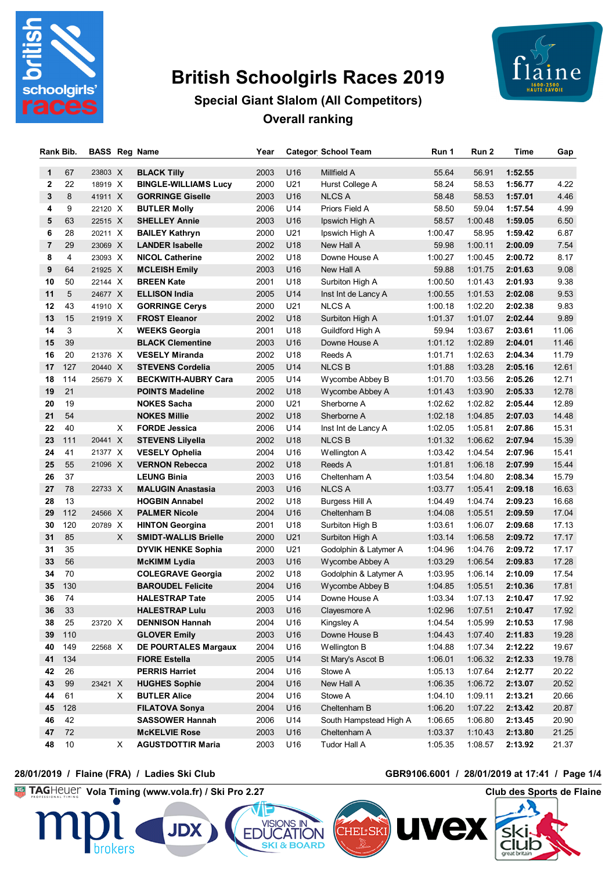

# **British Schoolgirls Races 2019**



# **Special Giant Slalom (All Competitors) Overall ranking**

| Rank Bib.    |     | <b>BASS Reg Name</b> |    |                             | Year |                 | <b>Categor School Team</b> | Run 1   | Run 2   | Time    | Gap   |
|--------------|-----|----------------------|----|-----------------------------|------|-----------------|----------------------------|---------|---------|---------|-------|
| $\mathbf{1}$ | 67  | 23803 X              |    | <b>BLACK Tilly</b>          | 2003 | U16             | Millfield A                | 55.64   | 56.91   | 1:52.55 |       |
| $\mathbf{2}$ | 22  | 18919 X              |    | <b>BINGLE-WILLIAMS Lucy</b> | 2000 | U21             | Hurst College A            | 58.24   | 58.53   | 1:56.77 | 4.22  |
| 3            | 8   | 41911 X              |    | <b>GORRINGE Giselle</b>     | 2003 | U16             | <b>NLCS A</b>              | 58.48   | 58.53   | 1:57.01 | 4.46  |
| 4            | 9   | 22120 X              |    | <b>BUTLER Molly</b>         | 2006 | U14             | Priors Field A             | 58.50   | 59.04   | 1:57.54 | 4.99  |
| 5            | 63  | 22515 X              |    | <b>SHELLEY Annie</b>        | 2003 | U16             | Ipswich High A             | 58.57   | 1:00.48 | 1:59.05 | 6.50  |
| 6            | 28  | 20211 X              |    | <b>BAILEY Kathryn</b>       | 2000 | U21             | Ipswich High A             | 1:00.47 | 58.95   | 1:59.42 | 6.87  |
| 7            | 29  | 23069 X              |    | <b>LANDER Isabelle</b>      | 2002 | U18             | New Hall A                 | 59.98   | 1:00.11 | 2:00.09 | 7.54  |
| 8            | 4   | 23093 X              |    | <b>NICOL Catherine</b>      | 2002 | U18             | Downe House A              | 1:00.27 | 1:00.45 | 2:00.72 | 8.17  |
| 9            | 64  | 21925 X              |    | <b>MCLEISH Emily</b>        | 2003 | U16             | New Hall A                 | 59.88   | 1:01.75 | 2:01.63 | 9.08  |
| 10           | 50  | 22144 X              |    | <b>BREEN Kate</b>           | 2001 | U18             | Surbiton High A            | 1:00.50 | 1:01.43 | 2:01.93 | 9.38  |
| 11           | 5   | 24677 X              |    | <b>ELLISON India</b>        | 2005 | U14             | Inst Int de Lancy A        | 1:00.55 | 1:01.53 | 2:02.08 | 9.53  |
| 12           | 43  | 41910 X              |    | <b>GORRINGE Cerys</b>       | 2000 | U21             | <b>NLCS A</b>              | 1:00.18 | 1:02.20 | 2:02.38 | 9.83  |
| 13           | 15  | 21919 X              |    | <b>FROST Eleanor</b>        | 2002 | U18             | Surbiton High A            | 1:01.37 | 1:01.07 | 2:02.44 | 9.89  |
| 14           | 3   |                      | X  | <b>WEEKS Georgia</b>        | 2001 | U18             | Guildford High A           | 59.94   | 1:03.67 | 2:03.61 | 11.06 |
| 15           | 39  |                      |    | <b>BLACK Clementine</b>     | 2003 | U16             | Downe House A              | 1:01.12 | 1:02.89 | 2:04.01 | 11.46 |
| 16           | 20  | 21376 X              |    | <b>VESELY Miranda</b>       | 2002 | U18             | Reeds A                    | 1:01.71 | 1:02.63 | 2:04.34 | 11.79 |
| 17           | 127 | 20440 X              |    | <b>STEVENS Cordelia</b>     | 2005 | U14             | <b>NLCS B</b>              | 1:01.88 | 1:03.28 | 2:05.16 | 12.61 |
| 18           | 114 | 25679 X              |    | <b>BECKWITH-AUBRY Cara</b>  | 2005 | U14             | Wycombe Abbey B            | 1:01.70 | 1:03.56 | 2:05.26 | 12.71 |
| 19           | 21  |                      |    | <b>POINTS Madeline</b>      | 2002 | U18             | Wycombe Abbey A            | 1:01.43 | 1:03.90 | 2:05.33 | 12.78 |
| 20           | 19  |                      |    | <b>NOKES Sacha</b>          | 2000 | U21             | Sherborne A                | 1:02.62 | 1:02.82 | 2:05.44 | 12.89 |
| 21           | 54  |                      |    | <b>NOKES Millie</b>         | 2002 | U18             | Sherborne A                | 1:02.18 | 1:04.85 | 2:07.03 | 14.48 |
| 22           | 40  |                      | X  | <b>FORDE Jessica</b>        | 2006 | U14             | Inst Int de Lancy A        | 1:02.05 | 1:05.81 | 2:07.86 | 15.31 |
| 23           | 111 | 20441 X              |    | <b>STEVENS Lilyella</b>     | 2002 | U18             | <b>NLCSB</b>               | 1:01.32 | 1:06.62 | 2:07.94 | 15.39 |
| 24           | 41  | 21377 X              |    | <b>VESELY Ophelia</b>       | 2004 | U16             | Wellington A               | 1:03.42 | 1:04.54 | 2:07.96 | 15.41 |
| 25           | 55  | 21096 X              |    | <b>VERNON Rebecca</b>       | 2002 | U18             | Reeds A                    | 1:01.81 | 1:06.18 | 2:07.99 | 15.44 |
| 26           | 37  |                      |    | <b>LEUNG Binia</b>          | 2003 | U16             | Cheltenham A               | 1:03.54 | 1:04.80 | 2:08.34 | 15.79 |
| 27           | 78  | 22733 X              |    | <b>MALUGIN Anastasia</b>    | 2003 | U <sub>16</sub> | <b>NLCS A</b>              | 1:03.77 | 1:05.41 | 2:09.18 | 16.63 |
| 28           | 13  |                      |    | <b>HOGBIN Annabel</b>       | 2002 | U18             | Burgess Hill A             | 1:04.49 | 1:04.74 | 2:09.23 | 16.68 |
| 29           | 112 | 24566 X              |    | <b>PALMER Nicole</b>        | 2004 | U16             | Cheltenham B               | 1:04.08 | 1:05.51 | 2:09.59 | 17.04 |
| 30           | 120 | 20789 X              |    | <b>HINTON Georgina</b>      | 2001 | U18             | Surbiton High B            | 1:03.61 | 1:06.07 | 2:09.68 | 17.13 |
| 31           | 85  |                      | X  | <b>SMIDT-WALLIS Brielle</b> | 2000 | U21             | Surbiton High A            | 1:03.14 | 1:06.58 | 2:09.72 | 17.17 |
| 31           | 35  |                      |    | <b>DYVIK HENKE Sophia</b>   | 2000 | U21             | Godolphin & Latymer A      | 1:04.96 | 1:04.76 | 2:09.72 | 17.17 |
| 33           | 56  |                      |    | <b>McKIMM Lydia</b>         | 2003 | U16             | Wycombe Abbey A            | 1:03.29 | 1:06.54 | 2:09.83 | 17.28 |
| 34           | 70  |                      |    | <b>COLEGRAVE Georgia</b>    | 2002 | U18             | Godolphin & Latymer A      | 1:03.95 | 1:06.14 | 2:10.09 | 17.54 |
| 35           | 130 |                      |    | <b>BAROUDEL Felicite</b>    | 2004 | U16             | Wycombe Abbey B            | 1:04.85 | 1:05.51 | 2:10.36 | 17.81 |
| 36           | 74  |                      |    | <b>HALESTRAP Tate</b>       | 2005 | U14             | Downe House A              | 1:03.34 | 1:07.13 | 2:10.47 | 17.92 |
| 36           | 33  |                      |    | <b>HALESTRAP Lulu</b>       | 2003 | U16             | Clayesmore A               | 1:02.96 | 1:07.51 | 2:10.47 | 17.92 |
| 38           | 25  | 23720 X              |    | <b>DENNISON Hannah</b>      | 2004 | U16             | Kingsley A                 | 1:04.54 | 1:05.99 | 2:10.53 | 17.98 |
| 39           | 110 |                      |    | <b>GLOVER Emily</b>         | 2003 | U16             | Downe House B              | 1:04.43 | 1:07.40 | 2:11.83 | 19.28 |
| 40           | 149 | 22568 X              |    | DE POURTALES Margaux        | 2004 | U16             | Wellington B               | 1:04.88 | 1:07.34 | 2:12.22 | 19.67 |
| 41           | 134 |                      |    | <b>FIORE Estella</b>        | 2005 | U14             | St Mary's Ascot B          | 1:06.01 | 1:06.32 | 2:12.33 | 19.78 |
| 42           | 26  |                      |    | <b>PERRIS Harriet</b>       | 2004 | U16             | Stowe A                    | 1:05.13 | 1:07.64 | 2:12.77 | 20.22 |
| 43           | 99  | 23421 X              |    | <b>HUGHES Sophie</b>        | 2004 | U16             | New Hall A                 | 1:06.35 | 1:06.72 | 2:13.07 | 20.52 |
| 44           | 61  |                      | X  | <b>BUTLER Alice</b>         | 2004 | U16             | Stowe A                    | 1:04.10 | 1:09.11 | 2:13.21 | 20.66 |
| 45           | 128 |                      |    | <b>FILATOVA Sonya</b>       | 2004 | U16             | Cheltenham B               | 1:06.20 | 1:07.22 | 2:13.42 | 20.87 |
| 46           | 42  |                      |    | <b>SASSOWER Hannah</b>      | 2006 | U14             | South Hampstead High A     | 1:06.65 | 1:06.80 | 2:13.45 | 20.90 |
| 47           | 72  |                      |    | <b>McKELVIE Rose</b>        | 2003 | U16             | Cheltenham A               | 1:03.37 | 1:10.43 | 2:13.80 | 21.25 |
| 48           | 10  |                      | X. | <b>AGUSTDOTTIR Maria</b>    | 2003 | U16             | Tudor Hall A               | 1:05.35 | 1:08.57 | 2:13.92 | 21.37 |

**Vola Timing (www.vola.fr) / Ski Pro 2.27 Club des Sports de Flaine**



### **28/01/2019 / Flaine (FRA) / Ladies Ski Club GBR9106.6001 / 28/01/2019 at 17:41 / Page 1/4**

 $\mathbf{U}$ 

**IVEX**  $\mathbf{V}$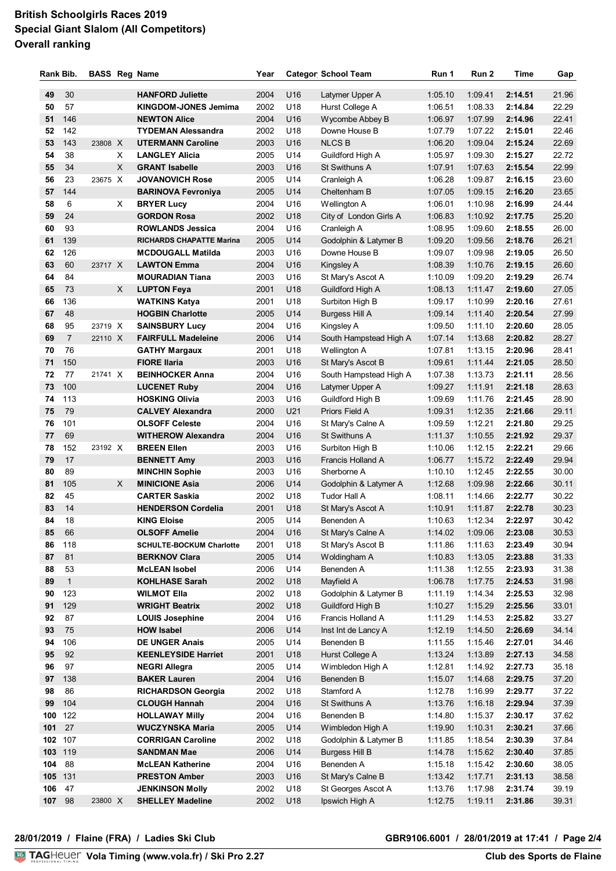# **British Schoolgirls Races 2019 Special Giant Slalom (All Competitors) Overall ranking**

| Rank Bib. |                | <b>BASS Reg Name</b> |   |                                 | Year     |                 | <b>Categor School Team</b> | Run 1   | Run 2   | Time    | Gap   |
|-----------|----------------|----------------------|---|---------------------------------|----------|-----------------|----------------------------|---------|---------|---------|-------|
|           |                |                      |   |                                 |          |                 |                            |         |         |         | 21.96 |
| 49        | 30             |                      |   | <b>HANFORD Juliette</b>         | 2004     | U <sub>16</sub> | Latymer Upper A            | 1:05.10 | 1:09.41 | 2:14.51 |       |
| 50        | 57             |                      |   | <b>KINGDOM-JONES Jemima</b>     | 2002     | U18             | Hurst College A            | 1:06.51 | 1:08.33 | 2:14.84 | 22.29 |
| 51        | 146            |                      |   | <b>NEWTON Alice</b>             | 2004     | U16             | Wycombe Abbey B            | 1:06.97 | 1:07.99 | 2:14.96 | 22.41 |
| 52        | 142            |                      |   | <b>TYDEMAN Alessandra</b>       | 2002     | U18             | Downe House B              | 1:07.79 | 1:07.22 | 2:15.01 | 22.46 |
| 53        | 143            | 23808 X              |   | <b>UTERMANN Caroline</b>        | 2003     | U16             | <b>NLCS B</b>              | 1:06.20 | 1:09.04 | 2:15.24 | 22.69 |
| 54        | 38             |                      | Χ | <b>LANGLEY Alicia</b>           | 2005     | U14             | Guildford High A           | 1:05.97 | 1:09.30 | 2:15.27 | 22.72 |
| 55        | 34             |                      | X | <b>GRANT Isabelle</b>           | 2003     | U16             | St Swithuns A              | 1:07.91 | 1:07.63 | 2:15.54 | 22.99 |
| 56        | 23             | 23675 X              |   | <b>JOVANOVICH Rose</b>          | 2005     | U14             | Cranleigh A                | 1:06.28 | 1:09.87 | 2:16.15 | 23.60 |
| 57        | 144            |                      |   | <b>BARINOVA Fevroniya</b>       | 2005     | U14             | Cheltenham B               | 1:07.05 | 1:09.15 | 2:16.20 | 23.65 |
| 58        | 6              |                      | Χ | <b>BRYER Lucy</b>               | 2004     | U16             | Wellington A               | 1:06.01 | 1:10.98 | 2:16.99 | 24.44 |
| 59        | 24             |                      |   | <b>GORDON Rosa</b>              | 2002     | U18             | City of London Girls A     | 1:06.83 | 1:10.92 | 2:17.75 | 25.20 |
| 60        | 93             |                      |   | <b>ROWLANDS Jessica</b>         | 2004     | U16             | Cranleigh A                | 1:08.95 | 1:09.60 | 2:18.55 | 26.00 |
| 61        | 139            |                      |   | <b>RICHARDS CHAPATTE Marina</b> | 2005     | U14             | Godolphin & Latymer B      | 1:09.20 | 1:09.56 | 2:18.76 | 26.21 |
| 62        | 126            |                      |   | <b>MCDOUGALL Matilda</b>        | 2003     | U16             | Downe House B              | 1:09.07 | 1:09.98 | 2:19.05 | 26.50 |
| 63        | 60             | 23717 X              |   | <b>LAWTON Emma</b>              | 2004     | U16             | Kingsley A                 | 1:08.39 | 1:10.76 | 2:19.15 | 26.60 |
| 64        | 84             |                      |   | <b>MOURADIAN Tiana</b>          | 2003     | U16             | St Mary's Ascot A          | 1:10.09 | 1:09.20 | 2:19.29 | 26.74 |
| 65        | 73             |                      | X | <b>LUPTON Feya</b>              | 2001     | U18             | Guildford High A           | 1:08.13 | 1:11.47 | 2:19.60 | 27.05 |
| 66        | 136            |                      |   | <b>WATKINS Katya</b>            | 2001     | U18             | Surbiton High B            | 1:09.17 | 1:10.99 | 2:20.16 | 27.61 |
| 67        | 48             |                      |   | <b>HOGBIN Charlotte</b>         | 2005     | U14             | <b>Burgess Hill A</b>      | 1:09.14 | 1:11.40 | 2:20.54 | 27.99 |
| 68        | 95             | 23719 X              |   | <b>SAINSBURY Lucy</b>           | 2004     | U16             | Kingsley A                 | 1:09.50 | 1:11.10 | 2:20.60 | 28.05 |
| 69        | $\overline{7}$ | 22110 X              |   | <b>FAIRFULL Madeleine</b>       | 2006     | U14             | South Hampstead High A     | 1:07.14 | 1:13.68 | 2:20.82 | 28.27 |
| 70        | 76             |                      |   | <b>GATHY Margaux</b>            | 2001     | U18             | Wellington A               | 1:07.81 | 1:13.15 | 2:20.96 | 28.41 |
| 71        | 150            |                      |   | <b>FIORE Ilaria</b>             | 2003     | U16             | St Mary's Ascot B          | 1:09.61 | 1:11.44 | 2:21.05 | 28.50 |
| 72        | 77             | 21741 X              |   | <b>BEINHOCKER Anna</b>          | 2004     | U16             | South Hampstead High A     | 1:07.38 | 1:13.73 | 2:21.11 | 28.56 |
| 73        | 100            |                      |   | <b>LUCENET Ruby</b>             | 2004     | U16             | Latymer Upper A            | 1:09.27 | 1:11.91 | 2:21.18 | 28.63 |
| 74        | 113            |                      |   | <b>HOSKING Olivia</b>           | 2003     | U16             | Guildford High B           | 1:09.69 | 1:11.76 | 2:21.45 | 28.90 |
| 75        | 79             |                      |   | <b>CALVEY Alexandra</b>         | 2000     | U21             | Priors Field A             | 1:09.31 | 1:12.35 | 2:21.66 | 29.11 |
| 76        | 101            |                      |   | <b>OLSOFF Celeste</b>           | 2004     | U16             | St Mary's Calne A          | 1:09.59 | 1:12.21 | 2:21.80 | 29.25 |
| 77        | 69             |                      |   | <b>WITHEROW Alexandra</b>       | 2004     | U16             | St Swithuns A              | 1:11.37 | 1:10.55 | 2:21.92 | 29.37 |
| 78        | 152            | 23192 X              |   | <b>BREEN Ellen</b>              | 2003     | U16             | Surbiton High B            | 1:10.06 | 1:12.15 | 2:22.21 | 29.66 |
| 79        | 17             |                      |   | <b>BENNETT Amy</b>              | 2003     | U16             | <b>Francis Holland A</b>   | 1:06.77 | 1:15.72 | 2:22.49 | 29.94 |
| 80        | 89             |                      |   | <b>MINCHIN Sophie</b>           | 2003     | U16             | Sherborne A                | 1:10.10 | 1:12.45 | 2:22.55 | 30.00 |
| 81        | 105            |                      | X | <b>MINICIONE Asia</b>           | 2006     | U14             | Godolphin & Latymer A      | 1:12.68 | 1:09.98 | 2:22.66 | 30.11 |
| 82        | 45             |                      |   | <b>CARTER Saskia</b>            | 2002     | U18             | Tudor Hall A               | 1:08.11 | 1:14.66 | 2:22.77 | 30.22 |
| 83        | 14             |                      |   | <b>HENDERSON Cordelia</b>       | 2001     | U18             | St Mary's Ascot A          | 1:10.91 | 1:11.87 | 2:22.78 | 30.23 |
| 84        | 18             |                      |   | <b>KING Eloise</b>              | 2005     | U14             | Benenden A                 | 1:10.63 | 1:12.34 | 2:22.97 | 30.42 |
| 85        | 66             |                      |   | <b>OLSOFF Amelie</b>            | 2004 U16 |                 | St Mary's Calne A          | 1:14.02 | 1:09.06 | 2:23.08 | 30.53 |
| 86        | 118            |                      |   | <b>SCHULTE-BOCKUM Charlotte</b> | 2001     | U18             | St Mary's Ascot B          | 1:11.86 | 1:11.63 | 2:23.49 | 30.94 |
| 87        | 81             |                      |   | <b>BERKNOV Clara</b>            | 2005     | U14             | Woldingham A               | 1:10.83 | 1:13.05 | 2:23.88 | 31.33 |
| 88        | 53             |                      |   | <b>McLEAN Isobel</b>            | 2006     | U14             | Benenden A                 | 1:11.38 | 1:12.55 | 2:23.93 | 31.38 |
| 89        | $\mathbf{1}$   |                      |   | <b>KOHLHASE Sarah</b>           | 2002     | U18             | Mayfield A                 | 1:06.78 | 1:17.75 | 2:24.53 | 31.98 |
| 90        | 123            |                      |   | <b>WILMOT Ella</b>              | 2002     | U18             | Godolphin & Latymer B      | 1:11.19 | 1:14.34 | 2:25.53 | 32.98 |
| 91        | 129            |                      |   | <b>WRIGHT Beatrix</b>           | 2002     | U18             | Guildford High B           | 1:10.27 | 1:15.29 | 2:25.56 | 33.01 |
| 92        | 87             |                      |   | <b>LOUIS Josephine</b>          | 2004     | U16             | Francis Holland A          | 1:11.29 | 1:14.53 | 2:25.82 | 33.27 |
| 93        | 75             |                      |   | <b>HOW Isabel</b>               | 2006     | U14             | Inst Int de Lancy A        | 1:12.19 | 1:14.50 | 2:26.69 | 34.14 |
| 94        | 106            |                      |   | <b>DE UNGER Anais</b>           | 2005     | U14             | Benenden B                 | 1:11.55 | 1:15.46 | 2:27.01 | 34.46 |
| 95        | 92             |                      |   | <b>KEENLEYSIDE Harriet</b>      | 2001     | U18             | Hurst College A            | 1:13.24 | 1:13.89 | 2:27.13 | 34.58 |
| 96        | 97             |                      |   | <b>NEGRI Allegra</b>            | 2005     | U14             | Wimbledon High A           | 1:12.81 | 1:14.92 | 2:27.73 | 35.18 |
| 97        | 138            |                      |   | <b>BAKER Lauren</b>             | 2004     | U16             | Benenden B                 | 1:15.07 | 1:14.68 | 2:29.75 | 37.20 |
| 98        | 86             |                      |   | <b>RICHARDSON Georgia</b>       | 2002     | U18             | Stamford A                 | 1:12.78 | 1:16.99 | 2:29.77 | 37.22 |
| 99        | 104            |                      |   | <b>CLOUGH Hannah</b>            | 2004     | U16             | St Swithuns A              | 1:13.76 | 1:16.18 | 2:29.94 | 37.39 |
| 100 122   |                |                      |   | <b>HOLLAWAY Milly</b>           | 2004     | U16             | Benenden B                 | 1:14.80 | 1:15.37 | 2:30.17 | 37.62 |
| 101       | 27             |                      |   | <b>WUCZYNSKA Maria</b>          | 2005     | U14             | Wimbledon High A           | 1:19.90 | 1:10.31 | 2:30.21 | 37.66 |
| 102 107   |                |                      |   | <b>CORRIGAN Caroline</b>        | 2002     | U18             | Godolphin & Latymer B      | 1:11.85 | 1:18.54 | 2:30.39 | 37.84 |
| 103       | 119            |                      |   | <b>SANDMAN Mae</b>              | 2006     | U14             | <b>Burgess Hill B</b>      | 1:14.78 | 1:15.62 | 2:30.40 | 37.85 |
| 104       | 88             |                      |   | <b>McLEAN Katherine</b>         | 2004     | U16             | Benenden A                 | 1:15.18 | 1:15.42 | 2:30.60 | 38.05 |
| 105       | 131            |                      |   | <b>PRESTON Amber</b>            | 2003     | U16             | St Mary's Calne B          | 1:13.42 | 1:17.71 | 2:31.13 | 38.58 |
| 106       | 47             |                      |   | <b>JENKINSON Molly</b>          | 2002     | U18             | St Georges Ascot A         | 1:13.76 | 1:17.98 | 2:31.74 | 39.19 |
| 107       | 98             | 23800 X              |   | <b>SHELLEY Madeline</b>         | 2002     | U18             | Ipswich High A             | 1:12.75 | 1:19.11 | 2:31.86 | 39.31 |
|           |                |                      |   |                                 |          |                 |                            |         |         |         |       |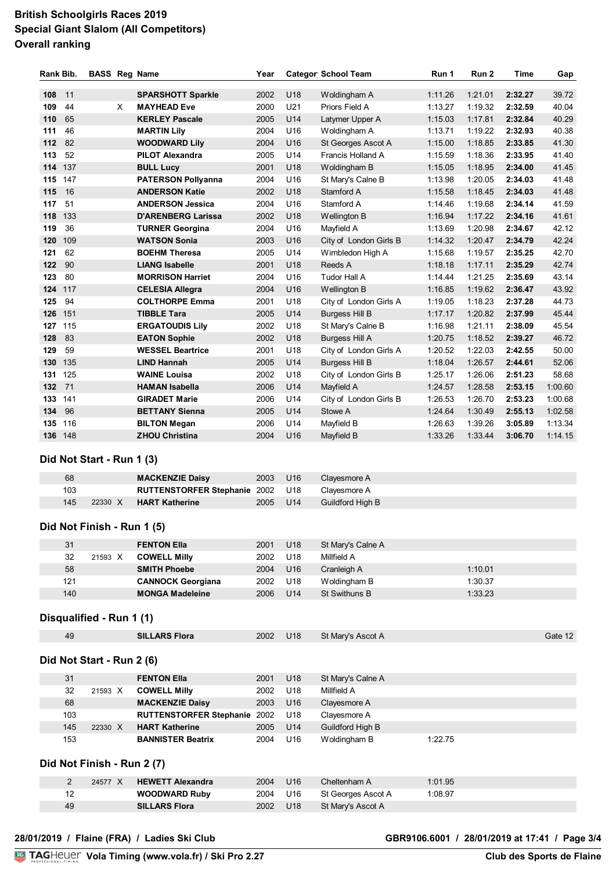# **British Schoolgirls Races 2019 Special Giant Slalom (All Competitors) Overall ranking**

| Rank Bib. |         |          | <b>BASS Reg Name</b>      | Year |                 | <b>Categor School Team</b> | Run 1   | Run 2   | Time    | Gap     |
|-----------|---------|----------|---------------------------|------|-----------------|----------------------------|---------|---------|---------|---------|
| 108       | 11      |          | <b>SPARSHOTT Sparkle</b>  | 2002 | U18             | Woldingham A               | 1:11.26 | 1:21.01 | 2:32.27 | 39.72   |
| 109       | 44      | $\times$ | <b>MAYHEAD Eve</b>        | 2000 | U21             | Priors Field A             | 1:13.27 | 1:19.32 | 2:32.59 | 40.04   |
| 110       | 65      |          | <b>KERLEY Pascale</b>     | 2005 | U14             | Latymer Upper A            | 1:15.03 | 1:17.81 | 2:32.84 | 40.29   |
| 111       | 46      |          | <b>MARTIN Lily</b>        | 2004 | U <sub>16</sub> | Woldingham A               | 1:13.71 | 1:19.22 | 2:32.93 | 40.38   |
| 112       | 82      |          | <b>WOODWARD Lily</b>      | 2004 | U16             | St Georges Ascot A         | 1:15.00 | 1:18.85 | 2:33.85 | 41.30   |
| 113       | 52      |          | <b>PILOT Alexandra</b>    | 2005 | U14             | Francis Holland A          | 1:15.59 | 1:18.36 | 2:33.95 | 41.40   |
| 114       | 137     |          | <b>BULL Lucy</b>          | 2001 | U18             | Woldingham B               | 1:15.05 | 1:18.95 | 2:34.00 | 41.45   |
| 115       | 147     |          | <b>PATERSON Pollyanna</b> | 2004 | U16             | St Mary's Calne B          | 1:13.98 | 1:20.05 | 2:34.03 | 41.48   |
| 115       | 16      |          | <b>ANDERSON Katie</b>     | 2002 | U18             | Stamford A                 | 1:15.58 | 1:18.45 | 2:34.03 | 41.48   |
| 117       | 51      |          | <b>ANDERSON Jessica</b>   | 2004 | U16             | Stamford A                 | 1:14.46 | 1:19.68 | 2:34.14 | 41.59   |
| 118       | 133     |          | <b>D'ARENBERG Larissa</b> | 2002 | U18             | Wellington B               | 1:16.94 | 1:17.22 | 2:34.16 | 41.61   |
| 119       | 36      |          | <b>TURNER Georgina</b>    | 2004 | U16             | Mayfield A                 | 1:13.69 | 1:20.98 | 2:34.67 | 42.12   |
| 120       | 109     |          | <b>WATSON Sonia</b>       | 2003 | U16             | City of London Girls B     | 1:14.32 | 1:20.47 | 2:34.79 | 42.24   |
| 121       | 62      |          | <b>BOEHM Theresa</b>      | 2005 | U14             | Wimbledon High A           | 1:15.68 | 1:19.57 | 2:35.25 | 42.70   |
| 122       | 90      |          | <b>LIANG Isabelle</b>     | 2001 | U18             | Reeds A                    | 1:18.18 | 1.17.11 | 2:35.29 | 42.74   |
| 123       | 80      |          | <b>MORRISON Harriet</b>   | 2004 | U16             | Tudor Hall A               | 1:14:44 | 1:21.25 | 2:35.69 | 43.14   |
| 124       | 117     |          | <b>CELESIA Allegra</b>    | 2004 | U16             | Wellington B               | 1:16.85 | 1:19.62 | 2:36.47 | 43.92   |
| 125       | 94      |          | <b>COLTHORPE Emma</b>     | 2001 | U18             | City of London Girls A     | 1:19.05 | 1:18.23 | 2:37.28 | 44.73   |
| 126       | 151     |          | <b>TIBBLE Tara</b>        | 2005 | U14             | <b>Burgess Hill B</b>      | 1:17.17 | 1:20.82 | 2:37.99 | 45.44   |
|           | 127 115 |          | <b>ERGATOUDIS Lily</b>    | 2002 | U18             | St Mary's Calne B          | 1:16.98 | 1:21.11 | 2:38.09 | 45.54   |
| 128       | 83      |          | <b>EATON Sophie</b>       | 2002 | U18             | Burgess Hill A             | 1:20.75 | 1:18.52 | 2:39.27 | 46.72   |
| 129       | 59      |          | <b>WESSEL Beartrice</b>   | 2001 | U <sub>18</sub> | City of London Girls A     | 1:20.52 | 1:22.03 | 2:42.55 | 50.00   |
| 130       | 135     |          | <b>LIND Hannah</b>        | 2005 | U14             | <b>Burgess Hill B</b>      | 1:18.04 | 1:26.57 | 2:44.61 | 52.06   |
| 131       | 125     |          | <b>WAINE Louisa</b>       | 2002 | U18             | City of London Girls B     | 1:25.17 | 1:26.06 | 2:51.23 | 58.68   |
| 132 71    |         |          | <b>HAMAN Isabella</b>     | 2006 | U14             | Mayfield A                 | 1:24.57 | 1:28.58 | 2:53.15 | 1:00.60 |
| 133       | 141     |          | <b>GIRADET Marie</b>      | 2006 | U14             | City of London Girls B     | 1:26.53 | 1:26.70 | 2:53.23 | 1:00.68 |
| 134       | 96      |          | <b>BETTANY Sienna</b>     | 2005 | U14             | Stowe A                    | 1:24.64 | 1:30.49 | 2:55.13 | 1:02.58 |
| 135       | 116     |          | <b>BILTON Megan</b>       | 2006 | U14             | Mayfield B                 | 1:26.63 | 1:39.26 | 3:05.89 | 1:13.34 |
|           | 136 148 |          | <b>ZHOU Christina</b>     | 2004 | U16             | Mayfield B                 | 1:33.26 | 1:33.44 | 3:06.70 | 1:14.15 |

### **Did Not Start - Run 1 (3)**

| 68  |         | <b>MACKENZIE Daisy</b>              | 2003 | U <sub>16</sub> | Clavesmore A            |
|-----|---------|-------------------------------------|------|-----------------|-------------------------|
| 103 |         | <b>RUTTENSTORFER Stephanie 2002</b> |      | U18             | Clavesmore A            |
| 145 | 22330 X | <b>HART Katherine</b>               | 2005 | U14             | <b>Guildford High B</b> |

## **Did Not Finish - Run 1 (5)**

| 31            | <b>FENTON Ella</b>       | 2001<br>U <sub>18</sub> | St Mary's Calne A |         |
|---------------|--------------------------|-------------------------|-------------------|---------|
| 32<br>21593 X | <b>COWELL Milly</b>      | 2002<br>U18             | Millfield A       |         |
| 58            | <b>SMITH Phoebe</b>      | U <sub>16</sub><br>2004 | Cranleigh A       | 1:10.01 |
| 121           | <b>CANNOCK Georgiana</b> | 2002<br>U18             | Woldingham B      | 1:30.37 |
| 140           | <b>MONGA Madeleine</b>   | U <sub>14</sub><br>2006 | St Swithuns B     | 1:33.23 |

## **Disqualified - Run 1 (1)**

|                            | 49             |         |  | <b>SILLARS Flora</b>           | 2002 | U <sub>18</sub> | St Mary's Ascot A       |         | Gate 12 |  |  |  |
|----------------------------|----------------|---------|--|--------------------------------|------|-----------------|-------------------------|---------|---------|--|--|--|
| Did Not Start - Run 2 (6)  |                |         |  |                                |      |                 |                         |         |         |  |  |  |
|                            | 31             |         |  | <b>FENTON Ella</b>             | 2001 | U <sub>18</sub> | St Mary's Calne A       |         |         |  |  |  |
|                            | 32             | 21593 X |  | <b>COWELL Milly</b>            | 2002 | U <sub>18</sub> | Millfield A             |         |         |  |  |  |
|                            | 68             |         |  | <b>MACKENZIE Daisy</b>         | 2003 | U <sub>16</sub> | Clayesmore A            |         |         |  |  |  |
|                            | 103            |         |  | <b>RUTTENSTORFER Stephanie</b> | 2002 | U18             | Clayesmore A            |         |         |  |  |  |
|                            | 145            | 22330 X |  | <b>HART Katherine</b>          | 2005 | U14             | <b>Guildford High B</b> |         |         |  |  |  |
|                            | 153            |         |  | <b>BANNISTER Beatrix</b>       | 2004 | U16             | Woldingham B            | 1:22.75 |         |  |  |  |
| Did Not Finish - Run 2 (7) |                |         |  |                                |      |                 |                         |         |         |  |  |  |
|                            | $\overline{2}$ | 24577 X |  | <b>HEWETT Alexandra</b>        | 2004 | U16             | Cheltenham A            | 1:01.95 |         |  |  |  |
|                            | 12             |         |  | <b>WOODWARD Ruby</b>           | 2004 | U16             | St Georges Ascot A      | 1:08.97 |         |  |  |  |
|                            | 49             |         |  | <b>SILLARS Flora</b>           | 2002 | U <sub>18</sub> | St Mary's Ascot A       |         |         |  |  |  |